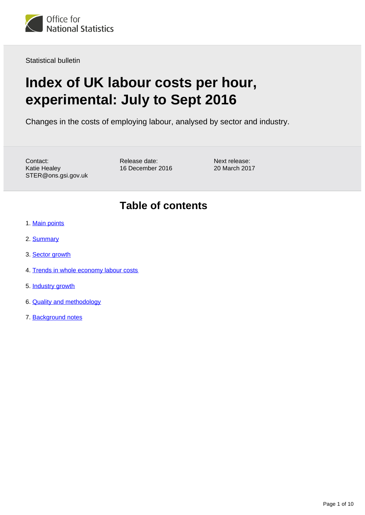

Statistical bulletin

# **Index of UK labour costs per hour, experimental: July to Sept 2016**

Changes in the costs of employing labour, analysed by sector and industry.

Contact: Katie Healey STER@ons.gsi.gov.uk Release date: 16 December 2016 Next release: 20 March 2017

## **Table of contents**

- 1. [Main points](#page-1-0)
- 2. [Summary](#page-1-1)
- 3. [Sector growth](#page-2-0)
- 4. [Trends in whole economy labour costs](#page-4-0)
- 5. [Industry growth](#page-5-0)
- 6. [Quality and methodology](#page-9-0)
- 7. Background notes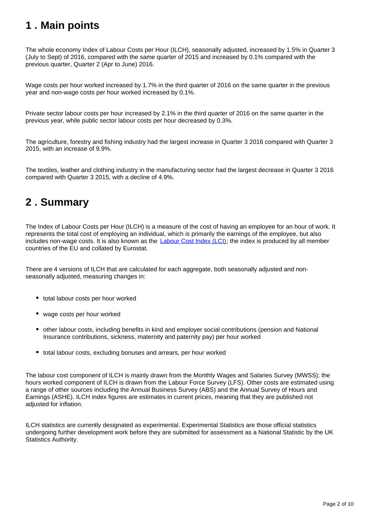# <span id="page-1-0"></span>**1 . Main points**

The whole economy Index of Labour Costs per Hour (ILCH), seasonally adjusted, increased by 1.5% in Quarter 3 (July to Sept) of 2016, compared with the same quarter of 2015 and increased by 0.1% compared with the previous quarter, Quarter 2 (Apr to June) 2016.

Wage costs per hour worked increased by 1.7% in the third quarter of 2016 on the same quarter in the previous year and non-wage costs per hour worked increased by 0.1%.

Private sector labour costs per hour increased by 2.1% in the third quarter of 2016 on the same quarter in the previous year, while public sector labour costs per hour decreased by 0.3%.

The agriculture, forestry and fishing industry had the largest increase in Quarter 3 2016 compared with Quarter 3 2015, with an increase of 9.9%.

The textiles, leather and clothing industry in the manufacturing sector had the largest decrease in Quarter 3 2016 compared with Quarter 3 2015, with a decline of 4.9%.

# <span id="page-1-1"></span>**2 . Summary**

The Index of Labour Costs per Hour (ILCH) is a measure of the cost of having an employee for an hour of work. It represents the total cost of employing an individual, which is primarily the earnings of the employee, but also includes non-wage costs. It is also known as the **Labour Cost Index (LCI)**; the index is produced by all member countries of the EU and collated by Eurostat.

There are 4 versions of ILCH that are calculated for each aggregate, both seasonally adjusted and nonseasonally adjusted, measuring changes in:

- total labour costs per hour worked
- wage costs per hour worked
- other labour costs, including benefits in kind and employer social contributions (pension and National Insurance contributions, sickness, maternity and paternity pay) per hour worked
- total labour costs, excluding bonuses and arrears, per hour worked

The labour cost component of ILCH is mainly drawn from the Monthly Wages and Salaries Survey (MWSS); the hours worked component of ILCH is drawn from the Labour Force Survey (LFS). Other costs are estimated using a range of other sources including the Annual Business Survey (ABS) and the Annual Survey of Hours and Earnings (ASHE). ILCH index figures are estimates in current prices, meaning that they are published not adjusted for inflation.

ILCH statistics are currently designated as experimental. Experimental Statistics are those official statistics undergoing further development work before they are submitted for assessment as a National Statistic by the UK Statistics Authority.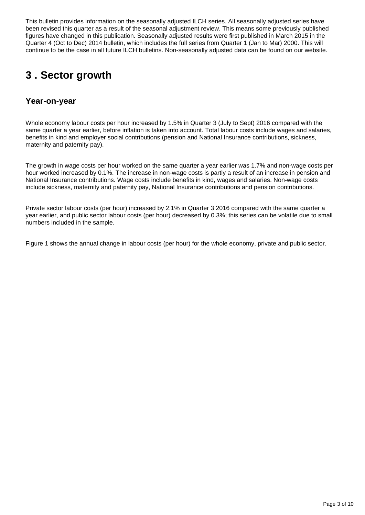This bulletin provides information on the seasonally adjusted ILCH series. All seasonally adjusted series have been revised this quarter as a result of the seasonal adjustment review. This means some previously published figures have changed in this publication. Seasonally adjusted results were first published in March 2015 in the Quarter 4 (Oct to Dec) 2014 bulletin, which includes the full series from Quarter 1 (Jan to Mar) 2000. This will continue to be the case in all future ILCH bulletins. Non-seasonally adjusted data can be found on our website.

# <span id="page-2-0"></span>**3 . Sector growth**

## **Year-on-year**

Whole economy labour costs per hour increased by 1.5% in Quarter 3 (July to Sept) 2016 compared with the same quarter a year earlier, before inflation is taken into account. Total labour costs include wages and salaries, benefits in kind and employer social contributions (pension and National Insurance contributions, sickness, maternity and paternity pay).

The growth in wage costs per hour worked on the same quarter a year earlier was 1.7% and non-wage costs per hour worked increased by 0.1%. The increase in non-wage costs is partly a result of an increase in pension and National Insurance contributions. Wage costs include benefits in kind, wages and salaries. Non-wage costs include sickness, maternity and paternity pay, National Insurance contributions and pension contributions.

Private sector labour costs (per hour) increased by 2.1% in Quarter 3 2016 compared with the same quarter a year earlier, and public sector labour costs (per hour) decreased by 0.3%; this series can be volatile due to small numbers included in the sample.

Figure 1 shows the annual change in labour costs (per hour) for the whole economy, private and public sector.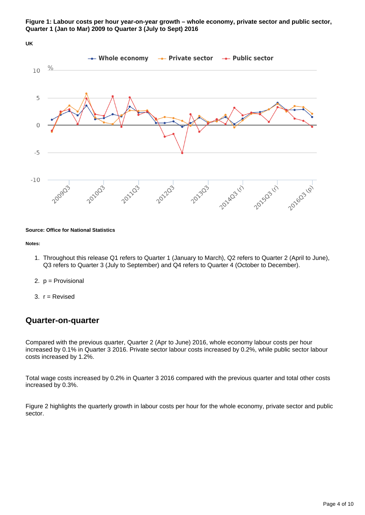

### **UK**



### **Source: Office for National Statistics**

#### **Notes:**

- 1. Throughout this release Q1 refers to Quarter 1 (January to March), Q2 refers to Quarter 2 (April to June), Q3 refers to Quarter 3 (July to September) and Q4 refers to Quarter 4 (October to December).
- 2. p = Provisional
- 3. r = Revised

## **Quarter-on-quarter**

Compared with the previous quarter, Quarter 2 (Apr to June) 2016, whole economy labour costs per hour increased by 0.1% in Quarter 3 2016. Private sector labour costs increased by 0.2%, while public sector labour costs increased by 1.2%.

Total wage costs increased by 0.2% in Quarter 3 2016 compared with the previous quarter and total other costs increased by 0.3%.

Figure 2 highlights the quarterly growth in labour costs per hour for the whole economy, private sector and public sector.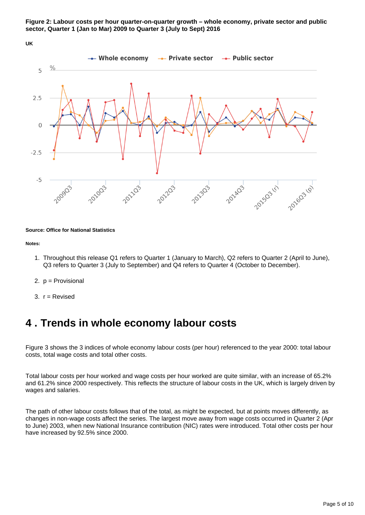





### **Source: Office for National Statistics**

#### **Notes:**

- 1. Throughout this release Q1 refers to Quarter 1 (January to March), Q2 refers to Quarter 2 (April to June), Q3 refers to Quarter 3 (July to September) and Q4 refers to Quarter 4 (October to December).
- 2. p = Provisional
- 3. r = Revised

## <span id="page-4-0"></span>**4 . Trends in whole economy labour costs**

Figure 3 shows the 3 indices of whole economy labour costs (per hour) referenced to the year 2000: total labour costs, total wage costs and total other costs.

Total labour costs per hour worked and wage costs per hour worked are quite similar, with an increase of 65.2% and 61.2% since 2000 respectively. This reflects the structure of labour costs in the UK, which is largely driven by wages and salaries.

The path of other labour costs follows that of the total, as might be expected, but at points moves differently, as changes in non-wage costs affect the series. The largest move away from wage costs occurred in Quarter 2 (Apr to June) 2003, when new National Insurance contribution (NIC) rates were introduced. Total other costs per hour have increased by 92.5% since 2000.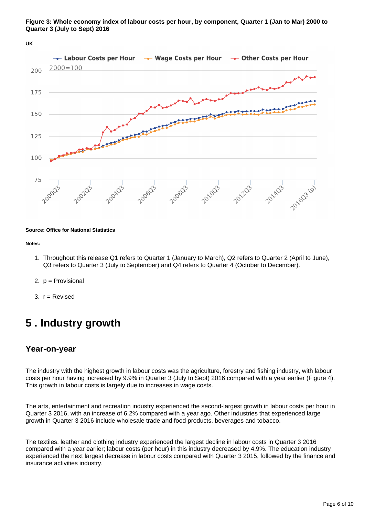

**Figure 3: Whole economy index of labour costs per hour, by component, Quarter 1 (Jan to Mar) 2000 to Quarter 3 (July to Sept) 2016**

## **Source: Office for National Statistics**

#### **Notes:**

- 1. Throughout this release Q1 refers to Quarter 1 (January to March), Q2 refers to Quarter 2 (April to June), Q3 refers to Quarter 3 (July to September) and Q4 refers to Quarter 4 (October to December).
- 2. p = Provisional
- 3. r = Revised

## <span id="page-5-0"></span>**5 . Industry growth**

### **Year-on-year**

The industry with the highest growth in labour costs was the agriculture, forestry and fishing industry, with labour costs per hour having increased by 9.9% in Quarter 3 (July to Sept) 2016 compared with a year earlier (Figure 4). This growth in labour costs is largely due to increases in wage costs.

The arts, entertainment and recreation industry experienced the second-largest growth in labour costs per hour in Quarter 3 2016, with an increase of 6.2% compared with a year ago. Other industries that experienced large growth in Quarter 3 2016 include wholesale trade and food products, beverages and tobacco.

The textiles, leather and clothing industry experienced the largest decline in labour costs in Quarter 3 2016 compared with a year earlier; labour costs (per hour) in this industry decreased by 4.9%. The education industry experienced the next largest decrease in labour costs compared with Quarter 3 2015, followed by the finance and insurance activities industry.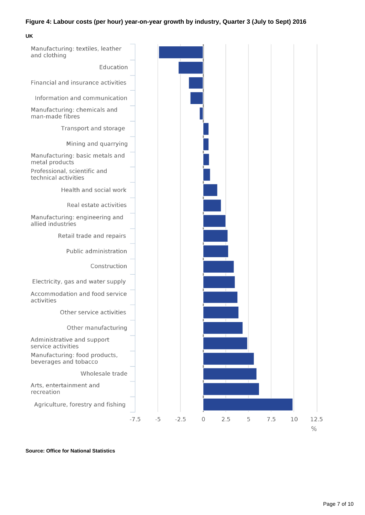### **Figure 4: Labour costs (per hour) year-on-year growth by industry, Quarter 3 (July to Sept) 2016**

**UK**



**Source: Office for National Statistics**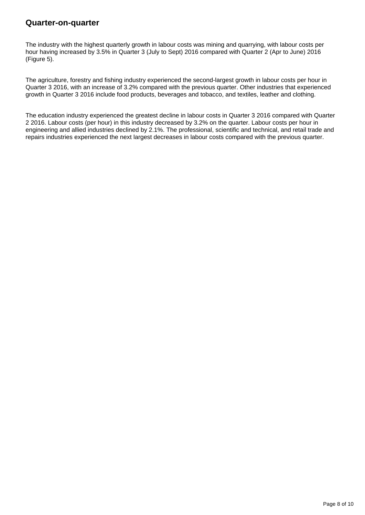## **Quarter-on-quarter**

The industry with the highest quarterly growth in labour costs was mining and quarrying, with labour costs per hour having increased by 3.5% in Quarter 3 (July to Sept) 2016 compared with Quarter 2 (Apr to June) 2016 (Figure 5).

The agriculture, forestry and fishing industry experienced the second-largest growth in labour costs per hour in Quarter 3 2016, with an increase of 3.2% compared with the previous quarter. Other industries that experienced growth in Quarter 3 2016 include food products, beverages and tobacco, and textiles, leather and clothing.

The education industry experienced the greatest decline in labour costs in Quarter 3 2016 compared with Quarter 2 2016. Labour costs (per hour) in this industry decreased by 3.2% on the quarter. Labour costs per hour in engineering and allied industries declined by 2.1%. The professional, scientific and technical, and retail trade and repairs industries experienced the next largest decreases in labour costs compared with the previous quarter.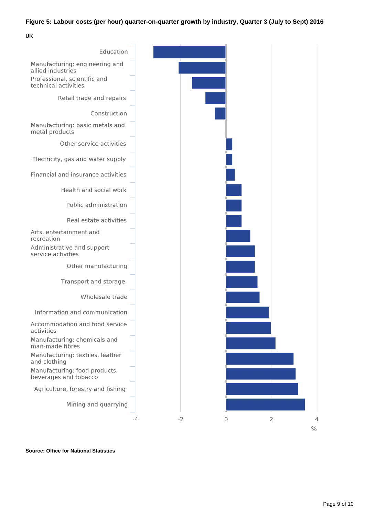## **Figure 5: Labour costs (per hour) quarter-on-quarter growth by industry, Quarter 3 (July to Sept) 2016**

**UK**